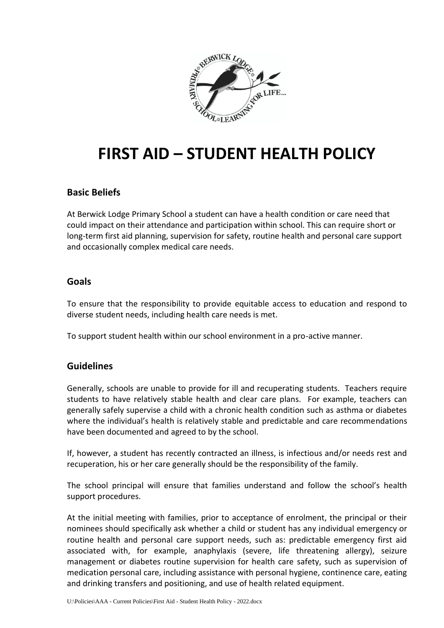

# **FIRST AID – STUDENT HEALTH POLICY**

## **Basic Beliefs**

At Berwick Lodge Primary School a student can have a health condition or care need that could impact on their attendance and participation within school. This can require short or long-term first aid planning, supervision for safety, routine health and personal care support and occasionally complex medical care needs.

#### **Goals**

To ensure that the responsibility to provide equitable access to education and respond to diverse student needs, including health care needs is met.

To support student health within our school environment in a pro-active manner.

## **Guidelines**

Generally, schools are unable to provide for ill and recuperating students. Teachers require students to have relatively stable health and clear care plans. For example, teachers can generally safely supervise a child with a chronic health condition such as asthma or diabetes where the individual's health is relatively stable and predictable and care recommendations have been documented and agreed to by the school.

If, however, a student has recently contracted an illness, is infectious and/or needs rest and recuperation, his or her care generally should be the responsibility of the family.

The school principal will ensure that families understand and follow the school's health support procedures.

At the initial meeting with families, prior to acceptance of enrolment, the principal or their nominees should specifically ask whether a child or student has any individual emergency or routine health and personal care support needs, such as: predictable emergency first aid associated with, for example, anaphylaxis (severe, life threatening allergy), seizure management or diabetes routine supervision for health care safety, such as supervision of medication personal care, including assistance with personal hygiene, continence care, eating and drinking transfers and positioning, and use of health related equipment.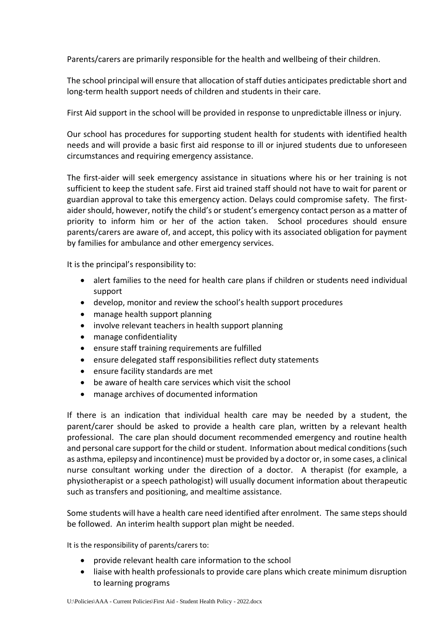Parents/carers are primarily responsible for the health and wellbeing of their children.

The school principal will ensure that allocation of staff duties anticipates predictable short and long-term health support needs of children and students in their care.

First Aid support in the school will be provided in response to unpredictable illness or injury.

Our school has procedures for supporting student health for students with identified health needs and will provide a basic first aid response to ill or injured students due to unforeseen circumstances and requiring emergency assistance.

The first-aider will seek emergency assistance in situations where his or her training is not sufficient to keep the student safe. First aid trained staff should not have to wait for parent or guardian approval to take this emergency action. Delays could compromise safety. The firstaider should, however, notify the child's or student's emergency contact person as a matter of priority to inform him or her of the action taken. School procedures should ensure parents/carers are aware of, and accept, this policy with its associated obligation for payment by families for ambulance and other emergency services.

It is the principal's responsibility to:

- alert families to the need for health care plans if children or students need individual support
- develop, monitor and review the school's health support procedures
- manage health support planning
- involve relevant teachers in health support planning
- manage confidentiality
- ensure staff training requirements are fulfilled
- ensure delegated staff responsibilities reflect duty statements
- ensure facility standards are met
- be aware of health care services which visit the school
- manage archives of documented information

If there is an indication that individual health care may be needed by a student, the parent/carer should be asked to provide a health care plan, written by a relevant health professional. The care plan should document recommended emergency and routine health and personal care support for the child or student. Information about medical conditions (such as asthma, epilepsy and incontinence) must be provided by a doctor or, in some cases, a clinical nurse consultant working under the direction of a doctor. A therapist (for example, a physiotherapist or a speech pathologist) will usually document information about therapeutic such as transfers and positioning, and mealtime assistance.

Some students will have a health care need identified after enrolment. The same steps should be followed. An interim health support plan might be needed.

It is the responsibility of parents/carers to:

- provide relevant health care information to the school
- liaise with health professionals to provide care plans which create minimum disruption to learning programs